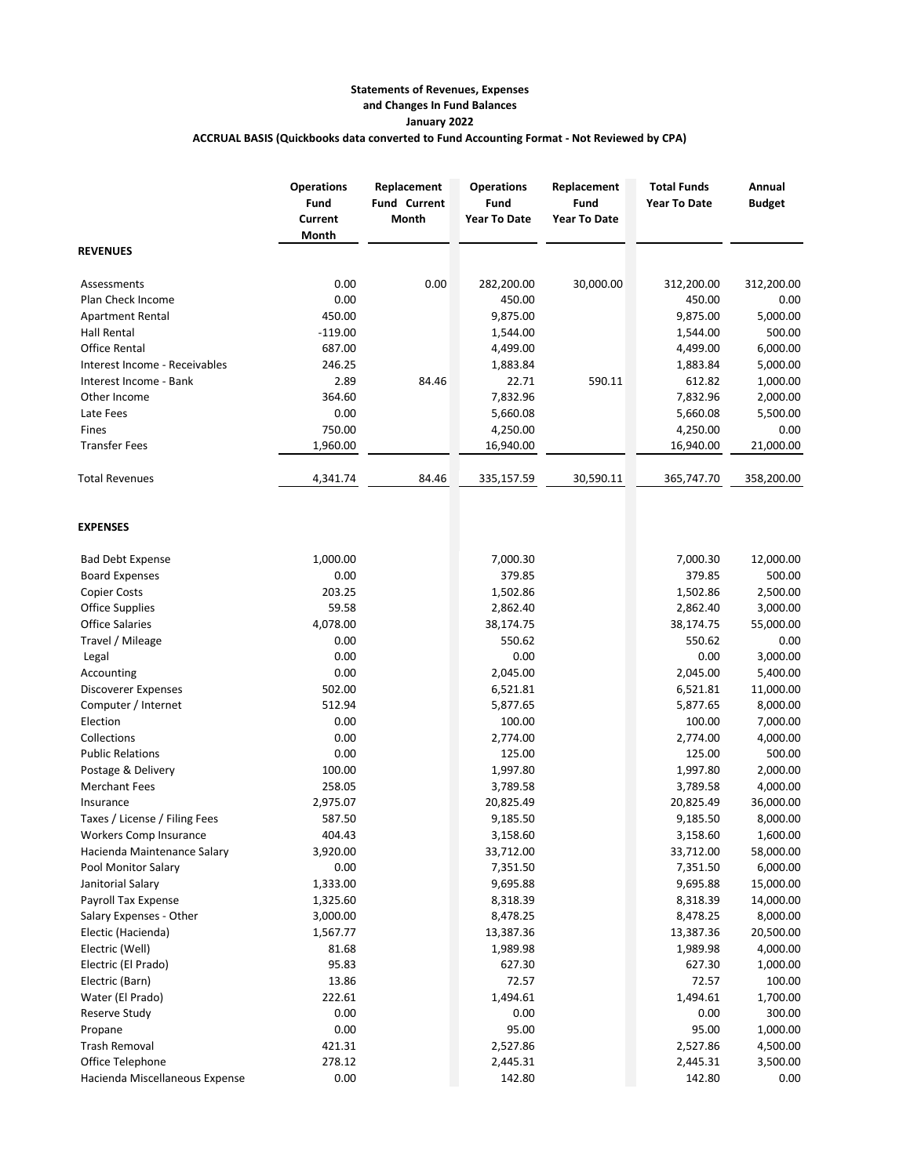## **Statements of Revenues, Expenses and Changes In Fund Balances January 2022 ACCRUAL BASIS (Quickbooks data converted to Fund Accounting Format - Not Reviewed by CPA)**

|                                | <b>Operations</b><br>Fund<br>Current<br>Month | Replacement<br><b>Fund Current</b><br>Month | <b>Operations</b><br>Fund<br><b>Year To Date</b> | Replacement<br>Fund<br><b>Year To Date</b> | <b>Total Funds</b><br><b>Year To Date</b> | Annual<br><b>Budget</b> |
|--------------------------------|-----------------------------------------------|---------------------------------------------|--------------------------------------------------|--------------------------------------------|-------------------------------------------|-------------------------|
| <b>REVENUES</b>                |                                               |                                             |                                                  |                                            |                                           |                         |
| Assessments                    | 0.00                                          | 0.00                                        | 282,200.00                                       | 30,000.00                                  | 312,200.00                                | 312,200.00              |
| Plan Check Income              | 0.00                                          |                                             | 450.00                                           |                                            | 450.00                                    | 0.00                    |
| <b>Apartment Rental</b>        | 450.00                                        |                                             | 9,875.00                                         |                                            | 9,875.00                                  | 5,000.00                |
| Hall Rental                    | $-119.00$                                     |                                             | 1,544.00                                         |                                            | 1,544.00                                  | 500.00                  |
| <b>Office Rental</b>           | 687.00                                        |                                             | 4,499.00                                         |                                            | 4,499.00                                  | 6,000.00                |
| Interest Income - Receivables  | 246.25                                        |                                             | 1,883.84                                         |                                            | 1,883.84                                  | 5,000.00                |
| Interest Income - Bank         | 2.89                                          | 84.46                                       | 22.71                                            | 590.11                                     | 612.82                                    | 1,000.00                |
| Other Income                   | 364.60                                        |                                             | 7,832.96                                         |                                            | 7,832.96                                  | 2,000.00                |
| Late Fees                      | 0.00                                          |                                             | 5,660.08                                         |                                            | 5,660.08                                  | 5,500.00                |
| Fines                          | 750.00                                        |                                             | 4,250.00                                         |                                            | 4,250.00                                  | 0.00                    |
| <b>Transfer Fees</b>           | 1,960.00                                      |                                             | 16,940.00                                        |                                            | 16,940.00                                 | 21,000.00               |
| <b>Total Revenues</b>          | 4,341.74                                      | 84.46                                       | 335,157.59                                       | 30,590.11                                  | 365,747.70                                | 358,200.00              |
| <b>EXPENSES</b>                |                                               |                                             |                                                  |                                            |                                           |                         |
| <b>Bad Debt Expense</b>        | 1,000.00                                      |                                             | 7,000.30                                         |                                            | 7,000.30                                  | 12,000.00               |
| <b>Board Expenses</b>          | 0.00                                          |                                             | 379.85                                           |                                            | 379.85                                    | 500.00                  |
| <b>Copier Costs</b>            | 203.25                                        |                                             | 1,502.86                                         |                                            | 1,502.86                                  | 2,500.00                |
| <b>Office Supplies</b>         | 59.58                                         |                                             | 2,862.40                                         |                                            | 2,862.40                                  | 3,000.00                |
| <b>Office Salaries</b>         | 4,078.00                                      |                                             | 38,174.75                                        |                                            | 38,174.75                                 | 55,000.00               |
| Travel / Mileage               | 0.00                                          |                                             | 550.62                                           |                                            | 550.62                                    | 0.00                    |
| Legal                          | 0.00                                          |                                             | 0.00                                             |                                            | 0.00                                      | 3,000.00                |
| Accounting                     | 0.00                                          |                                             | 2,045.00                                         |                                            | 2,045.00                                  | 5,400.00                |
| Discoverer Expenses            | 502.00                                        |                                             | 6,521.81                                         |                                            | 6,521.81                                  | 11,000.00               |
| Computer / Internet            | 512.94                                        |                                             | 5,877.65                                         |                                            | 5,877.65                                  | 8,000.00                |
| Election                       | 0.00                                          |                                             | 100.00                                           |                                            | 100.00                                    | 7,000.00                |
| Collections                    | 0.00                                          |                                             | 2,774.00                                         |                                            | 2,774.00                                  | 4,000.00                |
| <b>Public Relations</b>        | 0.00                                          |                                             | 125.00                                           |                                            | 125.00                                    | 500.00                  |
| Postage & Delivery             | 100.00                                        |                                             | 1,997.80                                         |                                            | 1,997.80                                  | 2,000.00                |
| <b>Merchant Fees</b>           | 258.05                                        |                                             | 3,789.58                                         |                                            | 3,789.58                                  | 4,000.00                |
| Insurance                      | 2,975.07                                      |                                             | 20,825.49                                        |                                            | 20,825.49                                 | 36,000.00               |
| Taxes / License / Filing Fees  | 587.50                                        |                                             | 9,185.50                                         |                                            | 9,185.50                                  | 8,000.00                |
| Workers Comp Insurance         | 404.43                                        |                                             | 3,158.60                                         |                                            | 3,158.60                                  | 1,600.00                |
| Hacienda Maintenance Salary    | 3,920.00                                      |                                             | 33,712.00                                        |                                            | 33,712.00                                 | 58,000.00               |
| Pool Monitor Salary            | 0.00                                          |                                             | 7,351.50                                         |                                            | 7,351.50                                  | 6,000.00                |
| Janitorial Salary              | 1,333.00                                      |                                             | 9,695.88                                         |                                            | 9,695.88                                  | 15,000.00               |
| Payroll Tax Expense            | 1,325.60                                      |                                             | 8,318.39                                         |                                            | 8,318.39                                  | 14,000.00               |
| Salary Expenses - Other        | 3,000.00                                      |                                             | 8,478.25                                         |                                            | 8,478.25                                  | 8,000.00                |
| Electic (Hacienda)             | 1,567.77                                      |                                             | 13,387.36                                        |                                            | 13,387.36                                 | 20,500.00               |
| Electric (Well)                | 81.68                                         |                                             | 1,989.98                                         |                                            | 1,989.98                                  | 4,000.00                |
| Electric (El Prado)            | 95.83                                         |                                             | 627.30                                           |                                            | 627.30                                    | 1,000.00                |
| Electric (Barn)                | 13.86                                         |                                             | 72.57                                            |                                            | 72.57                                     | 100.00                  |
| Water (El Prado)               | 222.61                                        |                                             | 1,494.61                                         |                                            | 1,494.61                                  | 1,700.00                |
| Reserve Study                  | 0.00                                          |                                             | 0.00                                             |                                            | 0.00                                      | 300.00                  |
| Propane                        | 0.00                                          |                                             | 95.00                                            |                                            | 95.00                                     | 1,000.00                |
| <b>Trash Removal</b>           | 421.31                                        |                                             | 2,527.86                                         |                                            | 2,527.86                                  | 4,500.00                |
| Office Telephone               | 278.12                                        |                                             | 2,445.31                                         |                                            | 2,445.31                                  | 3,500.00                |
| Hacienda Miscellaneous Expense | 0.00                                          |                                             | 142.80                                           |                                            | 142.80                                    | 0.00                    |